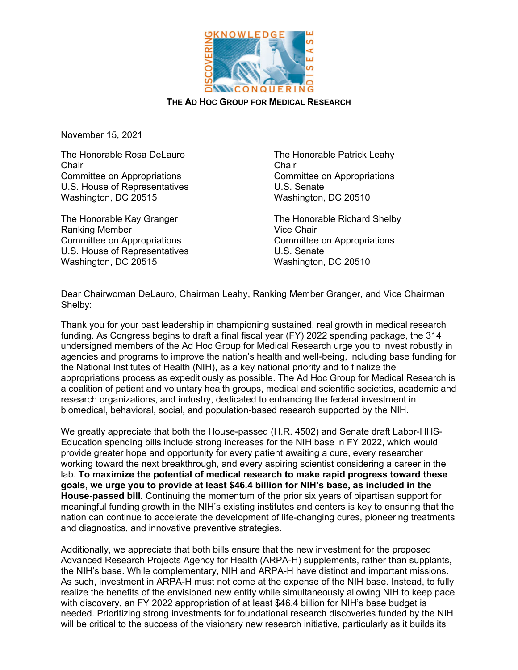

## **THE AD HOC GROUP FOR MEDICAL RESEARCH**

November 15, 2021

The Honorable Rosa DeLauro **Chair** Committee on Appropriations U.S. House of Representatives Washington, DC 20515

The Honorable Kay Granger Ranking Member Committee on Appropriations U.S. House of Representatives Washington, DC 20515

The Honorable Patrick Leahy **Chair** Committee on Appropriations U.S. Senate Washington, DC 20510

The Honorable Richard Shelby Vice Chair Committee on Appropriations U.S. Senate Washington, DC 20510

Dear Chairwoman DeLauro, Chairman Leahy, Ranking Member Granger, and Vice Chairman Shelby:

Thank you for your past leadership in championing sustained, real growth in medical research funding. As Congress begins to draft a final fiscal year (FY) 2022 spending package, the 314 undersigned members of the Ad Hoc Group for Medical Research urge you to invest robustly in agencies and programs to improve the nation's health and well-being, including base funding for the National Institutes of Health (NIH), as a key national priority and to finalize the appropriations process as expeditiously as possible. The Ad Hoc Group for Medical Research is a coalition of patient and voluntary health groups, medical and scientific societies, academic and research organizations, and industry, dedicated to enhancing the federal investment in biomedical, behavioral, social, and population-based research supported by the NIH.

We greatly appreciate that both the House-passed (H.R. 4502) and Senate draft Labor-HHS-Education spending bills include strong increases for the NIH base in FY 2022, which would provide greater hope and opportunity for every patient awaiting a cure, every researcher working toward the next breakthrough, and every aspiring scientist considering a career in the lab. **To maximize the potential of medical research to make rapid progress toward these goals, we urge you to provide at least \$46.4 billion for NIH's base, as included in the House-passed bill.** Continuing the momentum of the prior six years of bipartisan support for meaningful funding growth in the NIH's existing institutes and centers is key to ensuring that the nation can continue to accelerate the development of life-changing cures, pioneering treatments and diagnostics, and innovative preventive strategies.

Additionally, we appreciate that both bills ensure that the new investment for the proposed Advanced Research Projects Agency for Health (ARPA-H) supplements, rather than supplants, the NIH's base. While complementary, NIH and ARPA-H have distinct and important missions. As such, investment in ARPA-H must not come at the expense of the NIH base. Instead, to fully realize the benefits of the envisioned new entity while simultaneously allowing NIH to keep pace with discovery, an FY 2022 appropriation of at least \$46.4 billion for NIH's base budget is needed. Prioritizing strong investments for foundational research discoveries funded by the NIH will be critical to the success of the visionary new research initiative, particularly as it builds its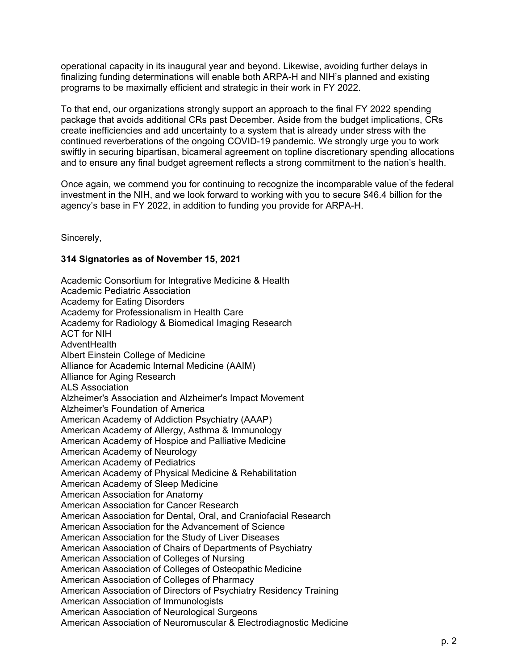operational capacity in its inaugural year and beyond. Likewise, avoiding further delays in finalizing funding determinations will enable both ARPA-H and NIH's planned and existing programs to be maximally efficient and strategic in their work in FY 2022.

To that end, our organizations strongly support an approach to the final FY 2022 spending package that avoids additional CRs past December. Aside from the budget implications, CRs create inefficiencies and add uncertainty to a system that is already under stress with the continued reverberations of the ongoing COVID-19 pandemic. We strongly urge you to work swiftly in securing bipartisan, bicameral agreement on topline discretionary spending allocations and to ensure any final budget agreement reflects a strong commitment to the nation's health.

Once again, we commend you for continuing to recognize the incomparable value of the federal investment in the NIH, and we look forward to working with you to secure \$46.4 billion for the agency's base in FY 2022, in addition to funding you provide for ARPA-H.

Sincerely,

## **314 Signatories as of November 15, 2021**

Academic Consortium for Integrative Medicine & Health Academic Pediatric Association Academy for Eating Disorders Academy for Professionalism in Health Care Academy for Radiology & Biomedical Imaging Research ACT for NIH AdventHealth Albert Einstein College of Medicine Alliance for Academic Internal Medicine (AAIM) Alliance for Aging Research ALS Association Alzheimer's Association and Alzheimer's Impact Movement Alzheimer's Foundation of America American Academy of Addiction Psychiatry (AAAP) American Academy of Allergy, Asthma & Immunology American Academy of Hospice and Palliative Medicine American Academy of Neurology American Academy of Pediatrics American Academy of Physical Medicine & Rehabilitation American Academy of Sleep Medicine American Association for Anatomy American Association for Cancer Research American Association for Dental, Oral, and Craniofacial Research American Association for the Advancement of Science American Association for the Study of Liver Diseases American Association of Chairs of Departments of Psychiatry American Association of Colleges of Nursing American Association of Colleges of Osteopathic Medicine American Association of Colleges of Pharmacy American Association of Directors of Psychiatry Residency Training American Association of Immunologists American Association of Neurological Surgeons American Association of Neuromuscular & Electrodiagnostic Medicine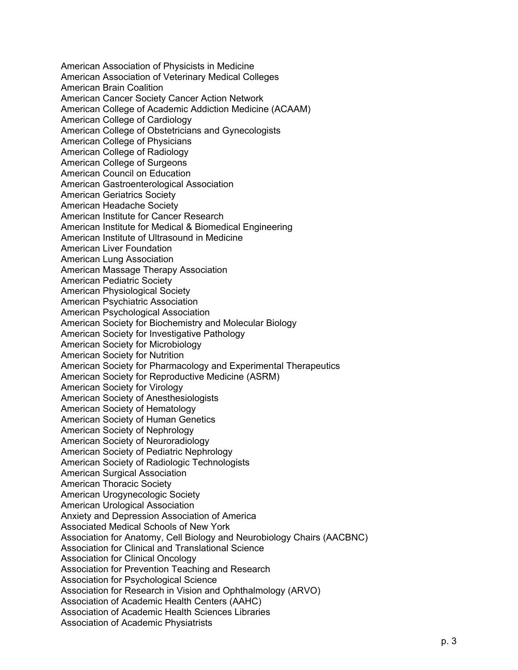American Association of Physicists in Medicine American Association of Veterinary Medical Colleges American Brain Coalition American Cancer Society Cancer Action Network American College of Academic Addiction Medicine (ACAAM) American College of Cardiology American College of Obstetricians and Gynecologists American College of Physicians American College of Radiology American College of Surgeons American Council on Education American Gastroenterological Association American Geriatrics Society American Headache Society American Institute for Cancer Research American Institute for Medical & Biomedical Engineering American Institute of Ultrasound in Medicine American Liver Foundation American Lung Association American Massage Therapy Association American Pediatric Society American Physiological Society American Psychiatric Association American Psychological Association American Society for Biochemistry and Molecular Biology American Society for Investigative Pathology American Society for Microbiology American Society for Nutrition American Society for Pharmacology and Experimental Therapeutics American Society for Reproductive Medicine (ASRM) American Society for Virology American Society of Anesthesiologists American Society of Hematology American Society of Human Genetics American Society of Nephrology American Society of Neuroradiology American Society of Pediatric Nephrology American Society of Radiologic Technologists American Surgical Association American Thoracic Society American Urogynecologic Society American Urological Association Anxiety and Depression Association of America Associated Medical Schools of New York Association for Anatomy, Cell Biology and Neurobiology Chairs (AACBNC) Association for Clinical and Translational Science Association for Clinical Oncology Association for Prevention Teaching and Research Association for Psychological Science Association for Research in Vision and Ophthalmology (ARVO) Association of Academic Health Centers (AAHC) Association of Academic Health Sciences Libraries Association of Academic Physiatrists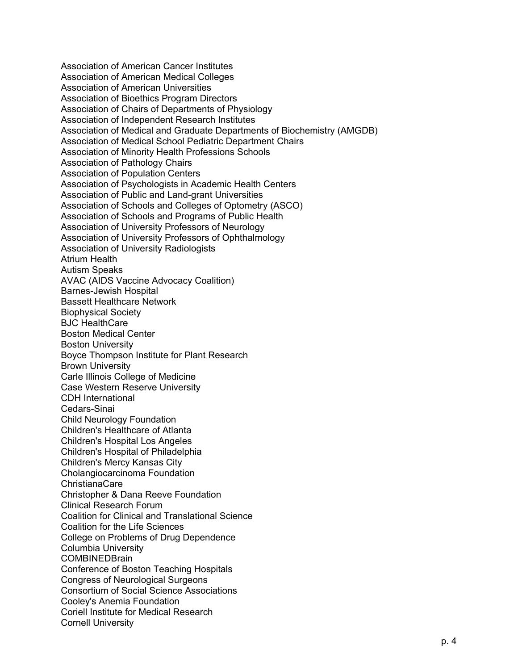Association of American Cancer Institutes Association of American Medical Colleges Association of American Universities Association of Bioethics Program Directors Association of Chairs of Departments of Physiology Association of Independent Research Institutes Association of Medical and Graduate Departments of Biochemistry (AMGDB) Association of Medical School Pediatric Department Chairs Association of Minority Health Professions Schools Association of Pathology Chairs Association of Population Centers Association of Psychologists in Academic Health Centers Association of Public and Land-grant Universities Association of Schools and Colleges of Optometry (ASCO) Association of Schools and Programs of Public Health Association of University Professors of Neurology Association of University Professors of Ophthalmology Association of University Radiologists Atrium Health Autism Speaks AVAC (AIDS Vaccine Advocacy Coalition) Barnes-Jewish Hospital Bassett Healthcare Network Biophysical Society BJC HealthCare Boston Medical Center Boston University Boyce Thompson Institute for Plant Research Brown University Carle Illinois College of Medicine Case Western Reserve University CDH International Cedars-Sinai Child Neurology Foundation Children's Healthcare of Atlanta Children's Hospital Los Angeles Children's Hospital of Philadelphia Children's Mercy Kansas City Cholangiocarcinoma Foundation ChristianaCare Christopher & Dana Reeve Foundation Clinical Research Forum Coalition for Clinical and Translational Science Coalition for the Life Sciences College on Problems of Drug Dependence Columbia University **COMBINEDBrain** Conference of Boston Teaching Hospitals Congress of Neurological Surgeons Consortium of Social Science Associations Cooley's Anemia Foundation Coriell Institute for Medical Research Cornell University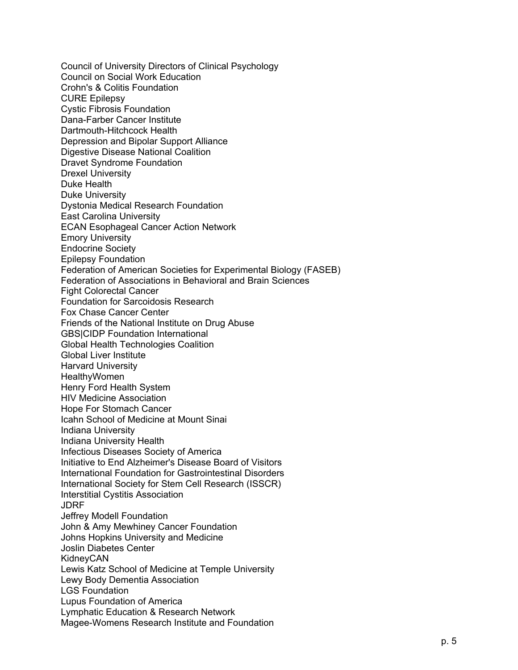Council of University Directors of Clinical Psychology Council on Social Work Education Crohn's & Colitis Foundation CURE Epilepsy Cystic Fibrosis Foundation Dana -Farber Cancer Institute Dartmouth -Hitchcock Health Depression and Bipolar Support Alliance Digestive Disease National Coalition Dravet Syndrome Foundation Drexel University Duke Health Duke University Dystonia Medical Research Foundation East Carolina University ECAN Esophageal Cancer Action Network Emory University Endocrine Society Epilepsy Foundation Federation of American Societies for Experimental Biology (FASEB) Federation of Associations in Behavioral and Brain Sciences Fight Colorectal Cancer Foundation for Sarcoidosis Research Fox Chase Cancer Center Friends of the National Institute on Drug Abuse GBS|CIDP Foundation International Global Health Technologies Coalition Global Liver Institute Harvard University **HealthyWomen** Henry Ford Health Syste m HIV Medicine Association Hope For Stomach Cancer Icahn School of Medicine at Mount Sinai Indiana University Indiana University Health Infectious Diseases Society of America Initiative to End Alzheimer's Disease Board of Visitors International Foundation for Gastrointestinal Disorders International Society for Stem Cell Research (ISSCR) Interstitial Cystitis Association JDRF Jeffrey Modell Foundation John & Amy Mewhiney Cancer Foundation Johns Hopkins University and Medicine Joslin Diabetes Center KidneyCAN Lewis Katz School of Medicine at Temple University Lewy Body Dementia Association LGS Foundation Lupus Foundation of America Lymphatic Education & Research Network Magee -Womens Research Institute and Foundation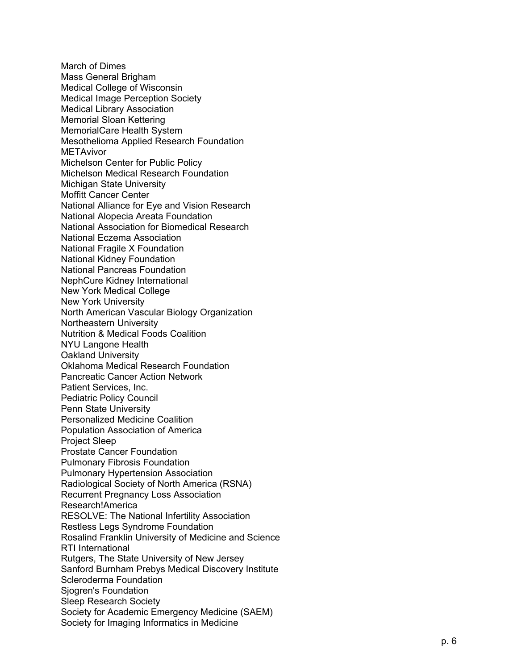March of Dimes Mass General Brigham Medical College of Wisconsin Medical Image Perception Society Medical Library Association Memorial Sloan Kettering MemorialCare Health System Mesothelioma Applied Research Foundation **METAvivor** Michelson Center for Public Policy Michelson Medical Research Foundation Michigan State University Moffitt Cancer Center National Alliance for Eye and Vision Research National Alopecia Areata Foundation National Association for Biomedical Research National Eczema Association National Fragile X Foundation National Kidney Foundation National Pancreas Foundation NephCure Kidney International New York Medical College New York University North American Vascular Biology Organization Northeastern University Nutrition & Medical Foods Coalitio n NYU Langone Health Oakland University Oklahoma Medical Research Foundation Pancreatic Cancer Action Network Patient Services, Inc. Pediatric Policy Council Penn State University Personalized Medicine Coalition Population Association of America Project Sleep Prostate Cancer Foundation Pulmonary Fibrosis Foundation Pulmonary Hypertension Association Radiological Society of North America (RSNA) Recurrent Pregnancy Loss Association Research!America RESOLVE: The National Infertility Association Restless Legs Syndrome Foundation Rosalind Franklin University of Medicine and Science RTI International Rutgers, The State University of New Jersey Sanford Burnham Prebys Medical Discovery Institute Scleroderma Foundation Sjogren's Foundation Sleep Research Society Society for Academic Emergency Medicine (SAEM) Society for Imaging Informatics in Medicine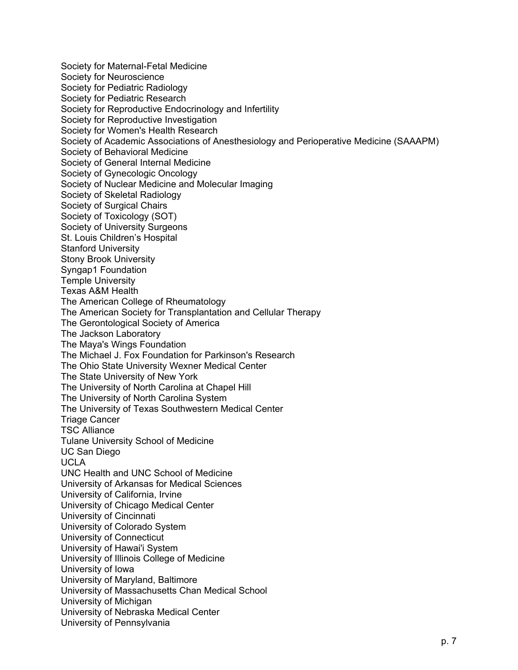Society for Maternal-Fetal Medicine Society for Neuroscience Society for Pediatric Radiology Society for Pediatric Research Society for Reproductive Endocrinology and Infertility Society for Reproductive Investigation Society for Women's Health Research Society of Academic Associations of Anesthesiology and Perioperative Medicine (SAAAPM) Society of Behavioral Medicine Society of General Internal Medicine Society of Gynecologic Oncology Society of Nuclear Medicine and Molecular Imaging Society of Skeletal Radiology Society of Surgical Chairs Society of Toxicology (SOT) Society of University Surgeons St. Louis Children's Hospital Stanford University Stony Brook University Syngap1 Foundation Temple University Texas A&M Health The American College of Rheumatology The American Society for Transplantation and Cellular Therapy The Gerontological Society of America The Jackson Laboratory The Maya's Wings Foundation The Michael J. Fox Foundation for Parkinson's Research The Ohio State University Wexner Medical Center The State University of New York The University of North Carolina at Chapel Hill The University of North Carolina System The University of Texas Southwestern Medical Center Triage Cancer TSC Alliance Tulane University School of Medicine UC San Diego UCLA UNC Health and UNC School of Medicine University of Arkansas for Medical Sciences University of California, Irvine University of Chicago Medical Center University of Cincinnati University of Colorado System University of Connecticut University of Hawai'i System University of Illinois College of Medicine University of Iowa University of Maryland, Baltimore University of Massachusetts Chan Medical School University of Michigan University of Nebraska Medical Center University of Pennsylvania